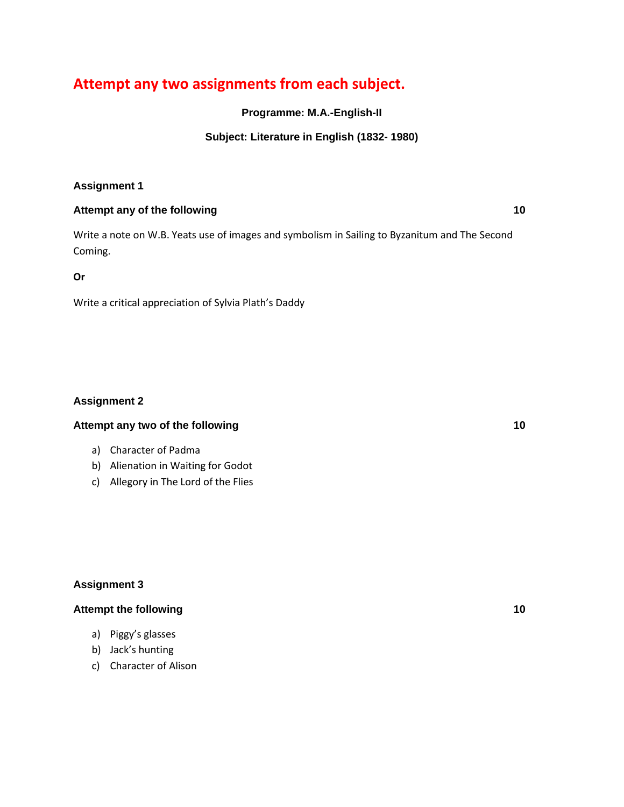# **Attempt any two assignments from each subject.**

**Programme: M.A.-English-II**

## **Subject: Literature in English (1832- 1980)**

## **Assignment 1**

#### **Attempt any of the following 10**

Write a note on W.B. Yeats use of images and symbolism in Sailing to Byzanitum and The Second Coming.

**Or**

Write a critical appreciation of Sylvia Plath's Daddy

## **Assignment 2**

#### **Attempt any two of the following 10**

- a) Character of Padma
- b) Alienation in Waiting for Godot
- c) Allegory in The Lord of the Flies

## **Assignment 3**

## **Attempt the following 10**

- a) Piggy's glasses
- b) Jack's hunting
- c) Character of Alison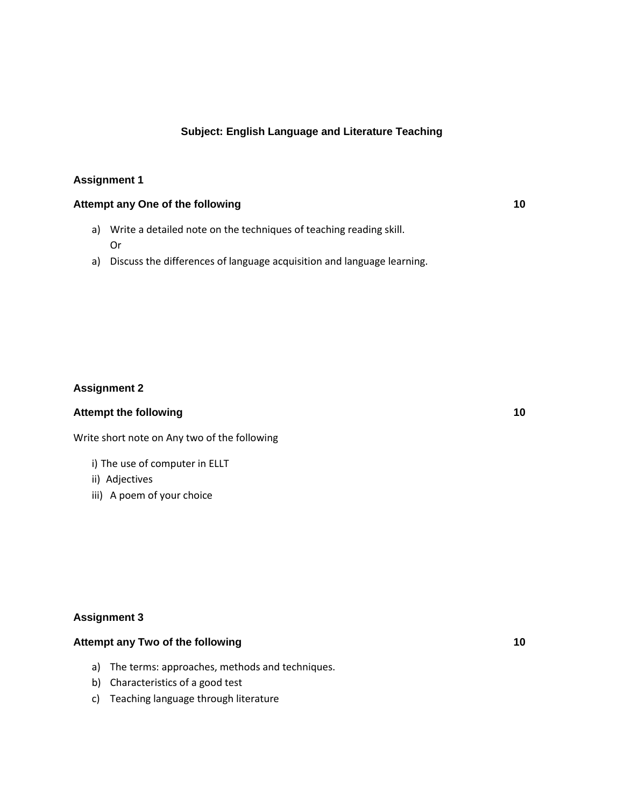#### **Subject: English Language and Literature Teaching**

#### **Assignment 1**

## **Attempt any One of the following 10**

- a) Write a detailed note on the techniques of teaching reading skill. Or
- a) Discuss the differences of language acquisition and language learning.

#### **Assignment 2**

#### **Attempt the following 10**

Write short note on Any two of the following

- i) The use of computer in ELLT
- ii) Adjectives
- iii) A poem of your choice

#### **Assignment 3**

## **Attempt any Two of the following 10**

- a) The terms: approaches, methods and techniques.
- b) Characteristics of a good test
- c) Teaching language through literature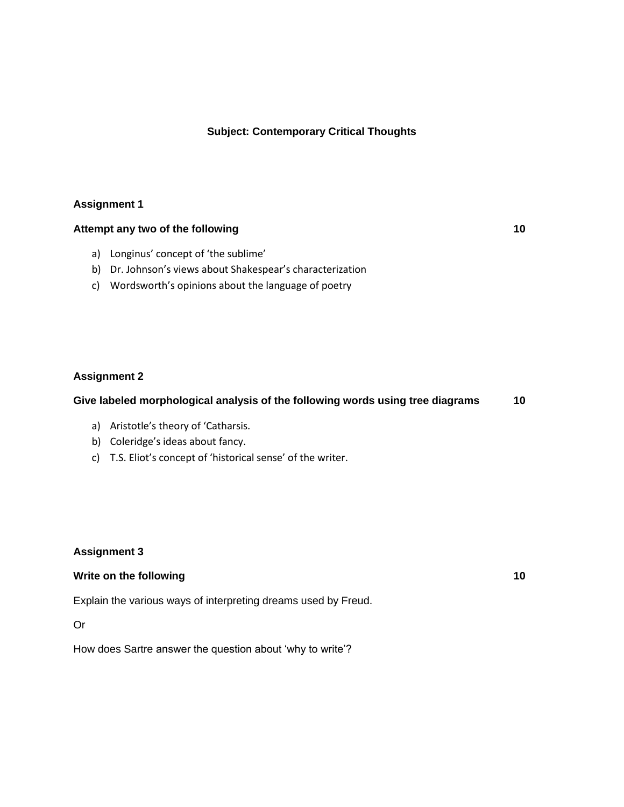#### **Subject: Contemporary Critical Thoughts**

#### **Assignment 1**

#### **Attempt any two of the following 10**

- a) Longinus' concept of 'the sublime'
- b) Dr. Johnson's views about Shakespear's characterization
- c) Wordsworth's opinions about the language of poetry

#### **Assignment 2**

#### **Give labeled morphological analysis of the following words using tree diagrams 10**

- a) Aristotle's theory of 'Catharsis.
- b) Coleridge's ideas about fancy.
- c) T.S. Eliot's concept of 'historical sense' of the writer.

#### **Assignment 3**

#### **Write on the following 10**

Explain the various ways of interpreting dreams used by Freud.

Or

How does Sartre answer the question about 'why to write'?